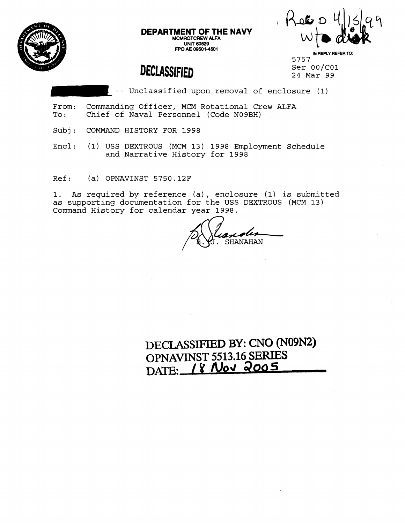

**DEPARTMENT OF THE NAVY MCMROTCREW ALFA UNIT 60529 FPO AE 09501-4501** 

 $R$ ero

# **DECLASSIFIED**

**IN REPLY REFER TO:**  5757 Ser 00/C01 24 Mar 99

-- Unclassified upon removal of enclosure (1)

- From: Commanding Officer, MCM Rotational Crew ALFA<br>To: Chief of Naval Personnel (Code N09BH) Chief of Naval Personnel (Code N09BH)
- Subj: COMMAND HISTORY FOR 1998

Encl: (1) USS DEXTROUS (MCM 13) 1998 Employment Schedule and Narrative History for 1998

Ref: (a) OPNAVINST 5750.12F

1. As required by reference (a) , enclosure (1) is submitted as supporting documentation for the USS DEXTROUS (MCM 13) Command History for calendar year 1998.

SHANAHAN

**DECLASSIFIED BY:** CNO **(N09N2) OPNAVJNST 5513.16 SERIES**  DATE: 18 Nov 2005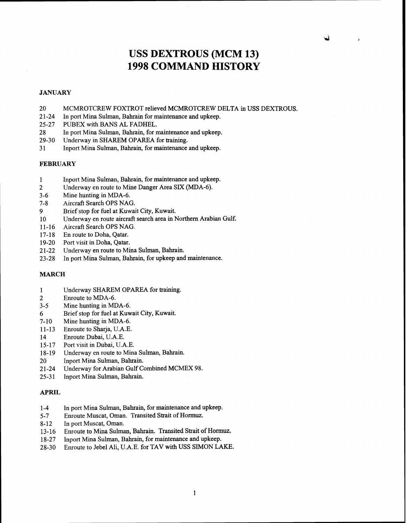# **USS DEXTROUS (MCM 13) 1998 COMMAND HISTORY**

#### **JANUARY**

- 20 MCMROTCREW FOXTROT relieved MCMROTCREW DELTA in USS DEXTROUS.
- 21-24 In port Mina Sulman, Bahrain for maintenance and upkeep.
- 25-27 PUBEX with BANS AL FADHEL.
- 28 In port Mina Sulman, Bahrain, for maintenance and upkeep.
- 29-30 Underway in SHAREM OPAREA for training.
- 3 1 Inport Mina Sulman, Bahrain, for maintenance and upkeep.

#### **FEBRUARY**

- $\mathbf{1}$ Inport Mina Sulman, Bahrain, for maintenance and upkeep.
- $\overline{2}$ Underway en route to Mine Danger Area SIX (MDA-6).
- $3 6$ Mine hunting in MDA-6.
- $7 8$ Aircraft Search OPS NAG.
- Brief stop for fuel at Kuwait City, Kuwait. 9
- Underway en route aircraft search area in Northern Arabian Gulf. 10
- $11 16$ Aircraft Search OPS NAG.
- $17 18$ En route to Doha, Qatar.
- Port visit in Doha, Qatar.  $19-20$
- Underway en route to Mina Sulman, Bahrain.  $21 - 22$
- In port Mina Sulman, Bahrain, for upkeep and maintenance.  $23 - 28$

#### **MARCH**

- Underway SHAREM OPAREA for training.  $\mathbf{1}$
- $\overline{2}$ Enroute to MDA-6.
- $3 5$ Mine hunting in MDA-6.
- Brief stop for fuel at Kuwait City, Kuwait. 6
- $7-10$ Mine hunting in MDA-6.
- $11 13$ Enroute to Sharja, U.A.E.
- Enroute Dubai, U.A.E. 14
- $15 17$ Port visit in Dubai, U.A.E.
- Underway en route to Mina Sulman, Bahrain.  $18-19$
- Inport Mina Sulman, Bahrain. 20
- Underway for Arabian Gulf Combined MCMEX 98.  $21 - 24$
- Inport Mina Sulman, Bahrain.  $25 - 31$

#### **APRIL**

- 1-4 In port Mina Sulman, Bahrain, for maintenance and upkeep.
- 5-7 Enroute Muscat, Oman. Transited Strait of Hormuz.
- 8-12 In port Muscat, Oman.
- 13- 16 Enroute to Mina Sulman, Bahrain. Transited Strait of **Homuz.**
- 18-27 Inport Mina Sulman, Bahrain, for maintenance and upkeep.
- 28-30 Enroute to Jebel Ali, U.A.E. for TAV with USS SIMON LAKE.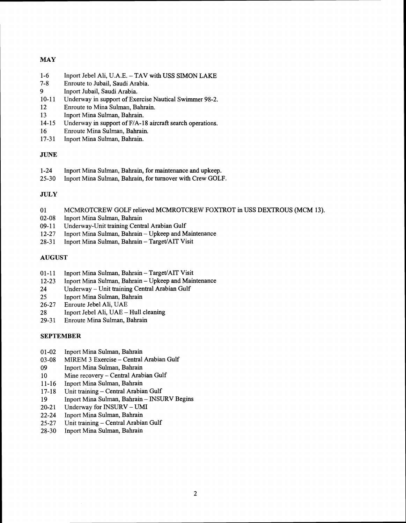# **MAY**

- $1 6$ Inport Jebel Ali, U.A.E. - TAV with USS SIMON LAKE
- $7 8$ Enroute to Jubail, Saudi Arabia.
- Inport Jubail, Saudi Arabia.  $\mathbf{Q}$
- $10 11$ Underway in support of Exercise Nautical Swimmer 98-2.
- Enroute to Mina Sulman, Bahrain.  $12$
- 13 Inport Mina Sulman, Bahrain.
- $14 15$ Underway in support of F/A-18 aircraft search operations.
- 16 Enroute Mina Sulman, Bahrain.
- $17 31$ Inport Mina Sulman, Bahrain.

#### **JUNE**

- 1-24 Inport Mina Sulman, Bahrain, for maintenance and upkeep.<br>25-30 Inport Mina Sulman, Bahrain, for turnover with Crew GOLI
- Inport Mina Sulman, Bahrain, for turnover with Crew GOLF.

#### **JULY**

- 01 MCMROTCREW GOLF relieved MCMROTCREW FOXTROT in USS DEXTROUS (MCM 13).
- 02-08 Inport Mina Sulman, Bahrain<br>09-11 Underway-Unit training Cent
- 09-11 Underway-Unit training Central Arabian Gulf<br>12-27 Inport Mina Sulman, Bahrain Upkeep and M
- 12-27 Inport Mina Sulman, Bahrain Upkeep and Maintenance<br>28-31 Inport Mina Sulman, Bahrain Target/AIT Visit
- Inport Mina Sulman, Bahrain Target/AIT Visit

#### AUGUST

- 01-11 Inport Mina Sulman, Bahrain Target/AIT Visit<br>12-23 Inport Mina Sulman, Bahrain Upkeep and Main
- 12-23 Inport Mina Sulman, Bahrain Upkeep and Maintenance<br>24 Underway Unit training Central Arabian Gulf
- 24 Underway Unit training Central Arabian Gulf<br>25 Inport Mina Sulman, Bahrain
- 25 Inport Mina Sulman, Bahrain<br>26-27 Enroute Jebel Ali, UAE
- Enroute Jebel Ali, UAE
- 28 Inport Jebel Ali, UAE Hull cleaning<br>29-31 Enroute Mina Sulman, Bahrain
- Enroute Mina Sulman, Bahrain

# SEPTEMBER

- $01 02$ Inport Mina Sulman, Bahrain
- $03-08$ MIREM 3 Exercise - Central Arabian Gulf
- 09 Inport Mina Sulman, Bahrain
- 10 Mine recovery - Central Arabian Gulf
- Inport Mina Sulman, Bahrain  $11 - 16$
- Unit training Central Arabian Gulf  $17 - 18$
- Inport Mina Sulman, Bahrain INSURV Begins 19
- $20 21$ Underway for INSURV - UMI
- Inport Mina Sulman, Bahrain  $22 - 24$
- Unit training Central Arabian Gulf  $25 - 27$
- 28-30 Inport Mina Sulman, Bahrain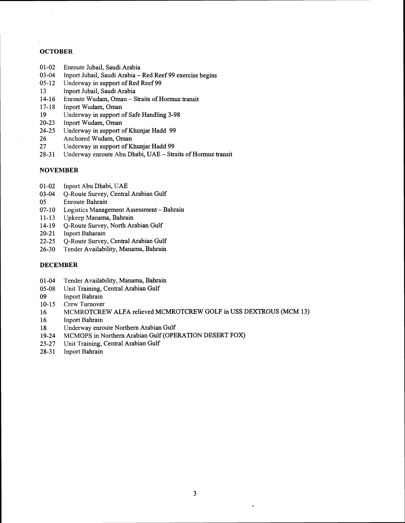## **OCTOBER**

- $01 02$ Enroute Jubail, Saudi Arabia
- $03 04$ Inport Jubail, Saudi Arabia - Red Reef 99 exercise begins
- $05-12$ Underway in support of Red Reef 99
- 13 Inport Jubail, Saudi Arabia
- Enroute Wudam, Oman Straits of Hormuz transit  $14-16$
- $17 18$ lnport Wudam, Oman
- 19 Underway in support of Safe Handling 3-98
- $20-23$ Inport Wudam, Oman
- $24 25$ Underway in support of Khunjar Hadd 99
- Anchored Wudam, Oman 26
- 27 Underway in support of Khunjar Hadd 99
- Underway enroute Abu Dhabi, UAE Straits of Hormuz transit  $28-31$

## **NOVEMBER**

- $01-02$ Inport Abu Dhabi, UAE
- $03 04$ Q-Route Survey, Central Arabian Gulf
- Enroute Bahrain 05
- $07-10$ Logistics Management Assessment - Bahrain
- $11-13$ Upkeep Manama, Bahrain
- $14-19$ Q-Route Survey, North Arabian Gulf
- lnport Baharain  $20 - 21$
- Q-Route Survey, Central Arabian Gulf  $22 - 25$
- $26-30$ Tender Availability, Manama, Bahrain

#### **DECEMBER**

- Tender Availability, Manama, Bahrain  $01 - 04$
- Unit Training, Central Arabian Gulf  $05-08$
- Inport Bahrain 09
- $10-15$ Crew Turnover
- MCMROTCREW ALFA relieved MCMROTCREW GOLF in USS DEXTROUS (MCM 13) 16
- 16 lnport Bahrain
- Underway enroute Northern Arabian Gulf 18
- MCMOPS in Northern Arabian Gulf (OPERATION DESERT FOX)  $19 - 24$
- $25 27$ Unit Training, Central Arabian Gulf
- Inport Bahrain  $28-31$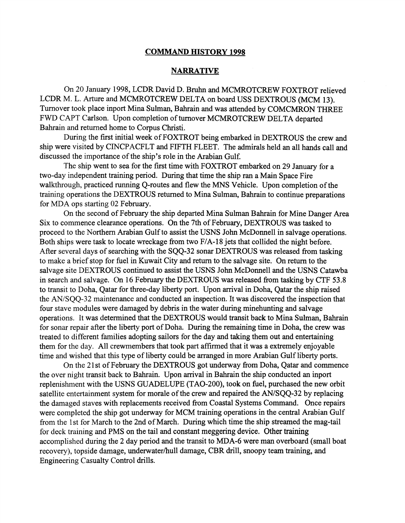#### **COMMAND HISTORY 1998**

# **NARRATIVE**

On 20 January 1998, LCDR David D. Bruhn and MCMROTCREW FOXTROT relieved LCDR M. L. Arture and MCMROTCREW DELTA on board USS DEXTROUS (MCM 13). Turnover took place inport Mina Sulman, Bahrain and was attended by COMCMRON THREE FWD CAPT Carlson. Upon completion of turnover MCMROTCREW DELTA departed Bahrain and returned home to Corpus Christi.

During the first initial week of FOXTROT being embarked in DEXTROUS the crew and ship were visited by CINCPACFLT and FIFTH FLEET. The admirals held an all hands call and discussed the importance of the ship's role in the Arabian Gulf.

The ship went to sea for the first time with FOXTROT embarked on 29 January for a two-day independent training period. During that time the ship ran a Main Space Fire walkthrough, practiced running Q-routes and flew the MNS Vehicle. Upon completion of the training operations the DEXTROUS returned to Mina Sulman, Bahrain to continue preparations for MDA ops starting 02 February.

On the second of February the ship departed Mina Sulman Bahrain for Mine Danger Area Six to commence clearance operations. On the 7th of February, DEXTROUS was tasked to proceed to the Northern Arabian Gulf to assist the USNS John McDonnell in salvage operations. Both ships were task to locate wreckage from two F/A-18 jets that collided the night before. After several days of searching with the SQQ-32 sonar DEXTROUS was released from tasking to make a brief stop for fuel in Kuwait City and return to the salvage site. On return to the salvage site DEXTROUS continued to assist the USNS John McDonnell and the USNS Catawba in search and salvage. On 16 February the DEXTROUS was released fiom tasking by CTF 53.8 to transit to Doha, Qatar for three-day liberty port. Upon arrival in Doha, Qatar the ship raised the AN/SOO-32 maintenance and conducted an inspection. It was discovered the inspection that four stave modules were damaged by debris in the water during minehunting and salvage operations. It was determined that the DEXTROUS would transit back to Mina Sulman, Bahrain for sonar repair after the liberty port of Doha. During the remaining time in Doha, the crew was treated to different families adopting sailors for the day and taking them out and entertaining them for the day. All crewmembers that took part affirmed that it was a extremely enjoyable time and wished that this type of liberty could be arranged in more Arabian Gulf liberty ports.

On the 21 st of February the DEXTROUS got underway fiom Doha, Qatar and commence the over night transit back to Bahrain. Upon arrival in Bahrain the ship conducted an inport replenishment with the USNS GUADELUPE (TAO-200), took on fuel, purchased the new orbit satellite entertainment system for morale of the crew and repaired the AN/SQQ-32 by replacing the damaged staves with replacements received from Coastal Systems Command. Once repairs were completed the ship got underway for MCM training operations in the central Arabian Gulf from the 1st for March to the 2nd of March. During which time the ship streamed the mag-tail for deck training and PMS on the tail and constant meggering device. Other training accomplished during the 2 day period and the transit to **MDA-6** were man overboard (small boat recovery), topside damage, underwater/hull damage, CBR drill, snoopy team training, and Engineering Casualty Control drills.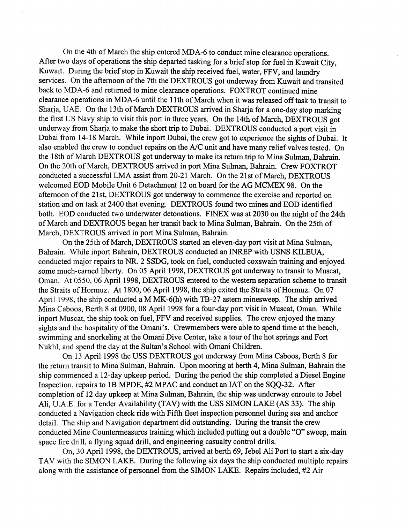On the 4th of March the ship entered MDA-6 to conduct mine clearance operations. After two days of operations the ship departed tasking for a brief stop for fuel in Kuwait City, Kuwait. During the brief stop in Kuwait the ship received fuel, water, FFV, and laundry services. On the afternoon of the 7th the DEXTROUS got underway from Kuwait and transited back to MDA-6 and returned to mine clearance operations. FOXTROT continued mine clearance operations in MDA-6 until the 1 lth of March when it was released off task to transit to Sharja, UAE. On the 13th of March DEXTROUS arrived in Sharja for a one-day stop marking the first US Navy ship to visit this port in three years. On the 14th of March, DEXTROUS got underway from Sharja to make the short trip to Dubai. DEXTROUS conducted a port visit in Dubai from 14-18 March. While inport Dubai, the crew got to experience the sights of Dubai. It also enabled the crew to conduct repairs on the A/C unit and have many relief valves tested. On the 18th of March DEXTROUS got underway to make its return trip to Mina Sulman, Bahrain. On the 20th of March, DEXTROUS arrived in port Mina Sulman, Bahrain. Crew FOXTROT conducted a successful LMA assist from 20-21 March. On the 21st of March, DEXTROUS welcomed EOD Mobile Unit 6 Detachment 12 on board for the AG MCMEX 98. On the afternoon of the 21st, DEXTROUS got underway to commence the exercise and reported on station and on task at 2400 that evening. DEXTROUS found two mines and EOD identified both. EOD conducted two underwater detonations. FINEX was at 2030 on the night of the 24th of March and DEXTROUS began her transit back to Mina Sulman, Bahrain. On the 25th of March, DEXTROUS arrived in port Mina Sulman, Bahrain.

On the 25th of March, DEXTROUS started an eleven-day port visit at Mina Sulman, Bahrain. While inport Bahrain, DEXTROUS conducted an INREP with USNS KILEUA, conducted major repairs to NR. 2 SSDG, took on fuel, conducted coxswain training and enjoyed some much-earned liberty. On 05 April 1998, DEXTROUS got underway to transit to Muscat, Oman. At 0550, 06 April 1998, DEXTROUS entered to the western separation scheme to transit the Straits of Hormuz. At 1800, 06 April 1998, the ship exited the Straits of Hormuz. On 07 April 1998, the ship conducted a M MK-6(h) with TB-27 astern minesweep. The ship arrived Mina Caboos, Berth 8 at 0900, 08 April 1998 for a four-day port visit in Muscat, Oman. While inport Muscat, the ship took on fuel, FFV and received supplies. The crew enjoyed the many sights and the hospitality of the Omani's. Crewmembers were able to spend time at the beach, swimming and snorkeling at the Omani Dive Center, take a tour of the hot springs and Fort Nukhl, and spend the day at the Sultan's School with Omani Children.

On 13 April 1998 the USS DEXTROUS got underway fiom Mina Caboos, Berth 8 for the return transit to Mina Sulman, Bahrain. Upon mooring at berth 4, Mina Sulman, Bahrain the ship commenced a 12-day upkeep period. During the period the ship completed a Diesel Engine Inspection, repairs to 1B MPDE, #2 MPAC and conduct an IAT on the SQQ-32. After completion of 12 day upkeep at Mina Sulman, Bahrain, the ship was underway enroute to Jebel Ali, U.A.E. for a Tender Availability (TAV) with the USS SIMON LAKE (AS 33). The ship conducted a Navigation check ride with Fifth fleet inspection personnel during sea and anchor detail. The ship and Navigation department did outstanding. During the transit the crew conducted Mine Countermeasures training which included putting out a double "O" sweep, main space fire drill, a flying squad drill, and engineering casualty control drills.

On, 30 April 1998, the DEXTROUS, arrived at berth 69, Jebel Ali Port to start a six-day TAV with the SIMON LAKE. During the following six days the ship conducted multiple repairs along with the assistance of personnel from the SIMON LAKE. Repairs included, #2 Air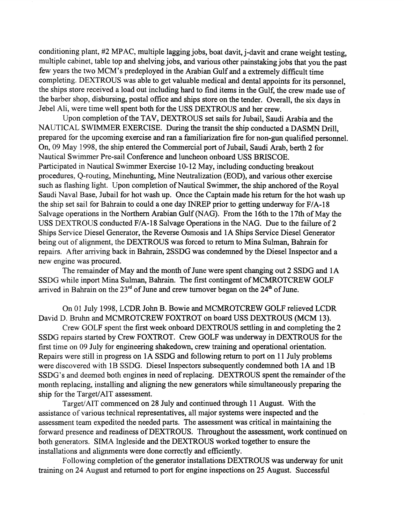conditioning plant, #2 MPAC, multiple lagging jobs, boat davit, j-davit and crane weight testing, multiple cabinet, table top and shelving jobs, and various other painstaking jobs that you the past few years the two MCM's predeployed in the Arabian Gulf and a extremely difficult time completing. DEXTROUS was able to get valuable medical and dental appoints for its personnel, the ships store received a load out including hard to find items in the Gulf, the crew made use of the barber shop, disbursing, postal office and ships store on the tender. Overall, the six days in Jebel Ali, were time well spent both for the USS DEXTROUS and her crew.

Upon completion of the TAV, DEXTROUS set sails for Jubail, Saudi Arabia and the NAUTICAL SWIMMER EXERCISE. During the transit the ship conducted a DASMN Drill, prepared for the upcoming exercise and ran a familiarization fire for non-gun qualified personnel. On, 09 May 1998, the ship entered the Commercial port of Jubail, Saudi Arab, berth 2 for Nautical Swimmer Pre-sail Conference and luncheon onboard USS BRISCOE. Participated in Nautical Swimmer Exercise 10- 12 May, including conducting breakout procedures, Q-routing, Minehunting, Mine Neutralization (EOD), and various other exercise such as flashing light. Upon completion of Nautical Swimmer, the ship anchored of the Royal Saudi Naval Base, Jubail for hot wash up. Once the Captain made his return for the hot wash up the ship set sail for Bahrain to could a one day INREP prior to getting underway for F/A-18 Salvage operations in the Northern Arabian Gulf (NAG). From the 16th to the 17th of May the USS DEXTROUS conducted F/A-18 Salvage Operations in the NAG. Due to the failure of 2 Ships Service Diesel Generator, the Reverse Osmosis and 1A Ships Service Diesel Generator being out of alignment, the DEXTROUS was forced to return to Mina Sulman, Bahrain for repairs. After arriving back in Bahrain, 2SSDG was condemned by the Diesel Inspector and a new engine was procured.

The remainder of May and the month of June were spent changing out 2 SSDG and 1A SSDG while inport Mina Sulman, Bahrain. The first contingent of MCMROTCREW GOLF arrived in Bahrain on the  $23<sup>rd</sup>$  of June and crew turnover began on the  $24<sup>th</sup>$  of June.

On 01 July 1998, LCDR John B. Bowie and MCMROTCREW GOLF relieved LCDR David D. Bruhn and MCMROTCREW FOXTROT on board USS DEXTROUS (MCM 13).

Crew GOLF spent the first week onboard DEXTROUS settling in and completing the 2 SSDG repairs started by Crew FOXTROT. Crew GOLF was underway in DEXTROUS for the first time on 09 July for engineering shakedown, crew training and operational orientation. Repairs were still in progress on 1A SSDG and following return to port on 11 July problems were discovered with 1B SSDG. Diesel Inspectors subsequently condemned both 1A and 1B SSDG's and deemed both engines in need of replacing. DEXTROUS spent the remainder of the month replacing, installing and aligning the new generators while simultaneously preparing the ship for the Target/AIT assessment.

Target/AIT commenced on 28 July and continued through 11 August. With the assistance of various technical representatives, all major systems were inspected and the assessment team expedited the needed parts. The assessment was critical in maintaining the forward presence and readiness of DEXTROUS. Throughout the assessment, **work** continued on both generators. SIMA Ingleside and the DEXTROUS worked together to ensure the installations and alignments were done correctly and efficiently.

Following completion of the generator installations DEXTROUS was underway for unit training on 24 August and returned to port for engine inspections on 25 August. Successful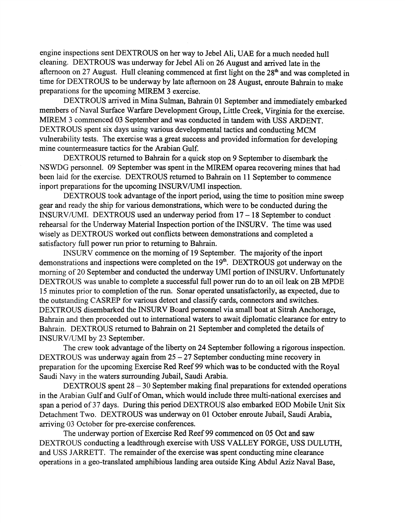engine inspections sent DEXTROUS on her way to Jebel Ali, UAE for a much needed hull cleaning. DEXTROUS was underway for Jebel Ali on 26 August and arrived late in the afternoon on 27 August. Hull cleaning commenced at first light on the  $28<sup>th</sup>$  and was completed in time for DEXTROUS to be underway by late afternoon on 28 August, enroute Bahrain to make preparations for the upcoming MIREM 3 exercise.

DEXTROUS arrived in Mina Sulman, Bahrain 01 September and immediately embarked members of Naval Surface Warfare Development Group, Little Creek, Virginia for the exercise. MIREM 3 commenced 03 September and was conducted in tandem with USS ARDENT. DEXTROUS spent six days using various developmental tactics and conducting MCM vulnerability tests. The exercise was a great success and provided information for developing mine countermeasure tactics for the Arabian Gulf.

DEXTROUS returned to Bahrain for a quick stop on 9 September to disembark the NSWDG personnel. 09 September was spent in the MIREM oparea recovering mines that had been laid for the exercise. DEXTROUS returned to Bahrain on 11 September to commence inport preparations for the upcoming INSURVIUMI inspection.

DEXTROUS took advantage of the inport period, using the time to position mine sweep gear and ready the ship for various demonstrations, which were to be conducted during the INSURVIUMI. DEXTROUS used an underway period from 17 - 18 September to conduct rehearsal for the Underway Material Inspection portion of the INSURV. The time was used wisely as DEXTROUS worked out conflicts between demonstrations and completed a satisfactory full power run prior to returning to Bahrain.

INSURV commence on the morning of 19 September. The majority of the inport demonstrations and inspections were completed on the 19". DEXTROUS got underway on the morning of 20 September and conducted the underway UMI portion of INSURV. Unfortunately DEXTROUS was unable to complete a successful full power run do to an oil leak on 2B MPDE 15 minutes prior to completion of the run. Sonar operated unsatisfactorily, as expected, due to the outstanding CASREP for various detect and classify cards, connectors and switches. DEXTROUS disembarked the INSURV Board personnel via small boat at Sitrah Anchorage, Bahrain and then proceeded out to international waters to await diplomatic clearance for entry to Bahrain. DEXTROUS returned to Bahrain on 21 September and completed the details of INSURV/UMI by 23 September.

The crew took advantage of the liberty on 24 September following a rigorous inspection. DEXTROUS was underway again from  $25 - 27$  September conducting mine recovery in preparation for the upcoming Exercise Red Reef 99 which was to be conducted with the Royal Saudi Navy in the waters surrounding Jubail, Saudi Arabia.

DEXTROUS spent 28 – 30 September making final preparations for extended operations in the Arabian Gulf and Gulf of Oman, which would include three multi-national exercises and span a period of 37 days. During this period DEXTROUS also embarked EOD Mobile Unit Six Detachment Two. DEXTROUS was underway on 01 October enroute Jubail, Saudi Arabia, arriving 03 October for pre-exercise conferences.

The underway portion of Exercise Red Reef 99 commenced on 05 Oct and saw DEXTROUS conducting a leadthrough exercise with USS VALLEY FORGE, USS DULUTH, and USS JARRETT. The remainder of the exercise was spent conducting mine clearance operations in a geo-translated amphibious landing area outside King Abdul Aziz Naval Base,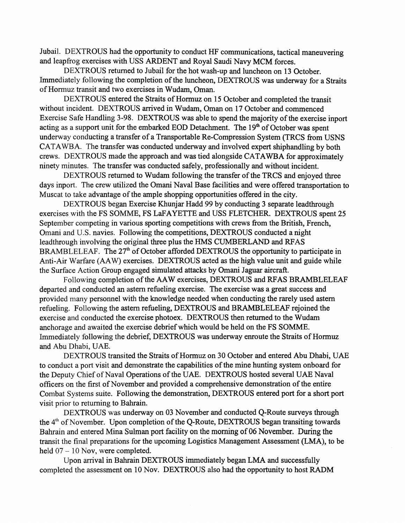Jubail. DEXTROUS had the opportunity to conduct HF communications, tactical maneuvering and leapfrog exercises with USS ARDENT and Royal Saudi Navy MCM forces.

DEXTROUS returned to Jubail for the hot wash-up and luncheon on 13 October. Immediately following the completion of the luncheon, DEXTROUS was underway for a Straits of Hormuz transit and two exercises in Wudam, Oman.

DEXTROUS entered the Straits of Hormuz on 15 October and completed the transit without incident. DEXTROUS arrived in Wudam, Oman on 17 October and commenced Exercise Safe Handling 3-98. DEXTROUS was able to spend the majority of the exercise inport acting as a support unit for the embarked EOD Detachment. The  $19<sup>th</sup>$  of October was spent underway conducting a transfer of a Transportable Re-Compression System (TRCS from USNS CATAWBA. The transfer was conducted underway and involved expert shiphandling by both crews. DEXTROUS made the approach and was tied alongside CATAWBA for approximately ninety minutes. The transfer was conducted safely, professionally and without incident.

DEXTROUS returned to Wudam following the transfer of the TRCS and enjoyed three days inport. The crew utilized the Omani Naval Base facilities and were offered transportation to Muscat to take advantage of the ample shopping opportunities offered in the city.

DEXTROUS began Exercise Khunjar Hadd 99 by conducting **3** separate leadthrough exercises with the FS SOMME, FS LaFAYETTE and USS FLETCHER. DEXTROUS spent 25 September competing in various sporting competitions with crews from the British, French, Omani and U.S. navies. Following the competitions, DEXTROUS conducted a night leadthrough involving the original three plus the HMS CUMBERLAND and RFAS BRAMBLELEAF. The 27<sup>th</sup> of October afforded DEXTROUS the opportunity to participate in Anti-Air Warfare (AAW) exercises. DEXTROUS acted as the high value unit and guide while the Surface Action Group engaged simulated attacks by Omani Jaguar aircraft.

Following completion of the AAW exercises, DEXTROUS and RFAS BRAMBLELEAF departed and conducted an astern refueling exercise. The exercise was a great success and provided many personnel with the knowledge needed when conducting the rarely used astern refueling. Following the astern refueling, DEXTROUS and BRAMBLELEAF rejoined the exercise and conducted the exercise photoex. DEXTROUS then returned to the Wudam anchorage and awaited the exercise debrief which would be held on the FS SOMME. Immediately following the debrief, DEXTROUS was underway enroute the Straits of Hormuz and Abu Dhabi, UAE.

DEXTROUS transited the Straits of Hormuz on 30 October and entered Abu Dhabi, UAE to conduct a port visit and demonstrate the capabilities of the mine hunting system onboard for the Deputy Chief of Naval Operations of the UAE. DEXTROUS hosted several UAE Naval officers on the first of November and provided a comprehensive demonstration of the entire Combat Systems suite. Following the demonstration, DEXTROUS entered port for a short port visit prior to returning to Bahrain.

DEXTROUS was underway on 03 November and conducted Q-Route surveys through the 4<sup>th</sup> of November. Upon completion of the Q-Route, DEXTROUS began transiting towards Bahrain and entered Mina Sulman port facility on the morning of 06 November. During the transit the final preparations for the upcoming Logistics Management Assessment (LMA), to be held  $07 - 10$  Nov, were completed.

Upon arrival in Bahrain DEXTROUS immediately began LMA and successfully completed the assessment on 10 Nov. DEXTROUS also had the opportunity to host **RADM**